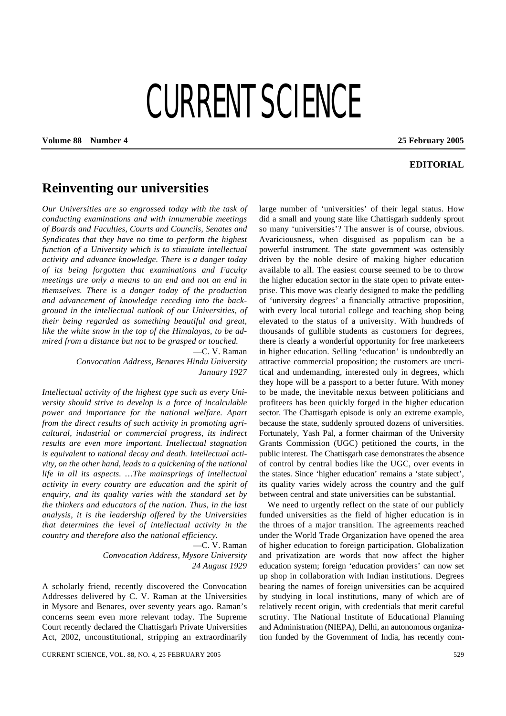## CURRENT SCIENCE

**Volume 88 Number 4 25 February 2005**

## **EDITORIAL**

## **Reinventing our universities**

*Our Universities are so engrossed today with the task of conducting examinations and with innumerable meetings of Boards and Faculties, Courts and Councils, Senates and Syndicates that they have no time to perform the highest function of a University which is to stimulate intellectual activity and advance knowledge. There is a danger today of its being forgotten that examinations and Faculty meetings are only a means to an end and not an end in themselves. There is a danger today of the production and advancement of knowledge receding into the background in the intellectual outlook of our Universities, of their being regarded as something beautiful and great, like the white snow in the top of the Himalayas, to be admired from a distance but not to be grasped or touched.*

> —C. V. Raman *Convocation Address, Benares Hindu University*

> > *January 1927*

*Intellectual activity of the highest type such as every University should strive to develop is a force of incalculable power and importance for the national welfare. Apart from the direct results of such activity in promoting agricultural, industrial or commercial progress, its indirect results are even more important. Intellectual stagnation is equivalent to national decay and death. Intellectual activity, on the other hand, leads to a quickening of the national life in all its aspects. …The mainsprings of intellectual activity in every country are education and the spirit of enquiry, and its quality varies with the standard set by the thinkers and educators of the nation. Thus, in the last analysis, it is the leadership offered by the Universities that determines the level of intellectual activity in the country and therefore also the national efficiency.*

> —C. V. Raman *Convocation Address, Mysore University 24 August 1929*

A scholarly friend, recently discovered the Convocation Addresses delivered by C. V. Raman at the Universities in Mysore and Benares, over seventy years ago. Raman's concerns seem even more relevant today. The Supreme Court recently declared the Chattisgarh Private Universities Act, 2002, unconstitutional, stripping an extraordinarily

large number of 'universities' of their legal status. How did a small and young state like Chattisgarh suddenly sprout so many 'universities'? The answer is of course, obvious. Avariciousness, when disguised as populism can be a powerful instrument. The state government was ostensibly driven by the noble desire of making higher education available to all. The easiest course seemed to be to throw the higher education sector in the state open to private enterprise. This move was clearly designed to make the peddling of 'university degrees' a financially attractive proposition, with every local tutorial college and teaching shop being elevated to the status of a university. With hundreds of thousands of gullible students as customers for degrees, there is clearly a wonderful opportunity for free marketeers in higher education. Selling 'education' is undoubtedly an attractive commercial proposition; the customers are uncritical and undemanding, interested only in degrees, which they hope will be a passport to a better future. With money to be made, the inevitable nexus between politicians and profiteers has been quickly forged in the higher education sector. The Chattisgarh episode is only an extreme example, because the state, suddenly sprouted dozens of universities. Fortunately, Yash Pal, a former chairman of the University Grants Commission (UGC) petitioned the courts, in the public interest. The Chattisgarh case demonstrates the absence of control by central bodies like the UGC, over events in the states. Since 'higher education' remains a 'state subject', its quality varies widely across the country and the gulf between central and state universities can be substantial.

We need to urgently reflect on the state of our publicly funded universities as the field of higher education is in the throes of a major transition. The agreements reached under the World Trade Organization have opened the area of higher education to foreign participation. Globalization and privatization are words that now affect the higher education system; foreign 'education providers' can now set up shop in collaboration with Indian institutions. Degrees bearing the names of foreign universities can be acquired by studying in local institutions, many of which are of relatively recent origin, with credentials that merit careful scrutiny. The National Institute of Educational Planning and Administration (NIEPA), Delhi, an autonomous organization funded by the Government of India, has recently com-